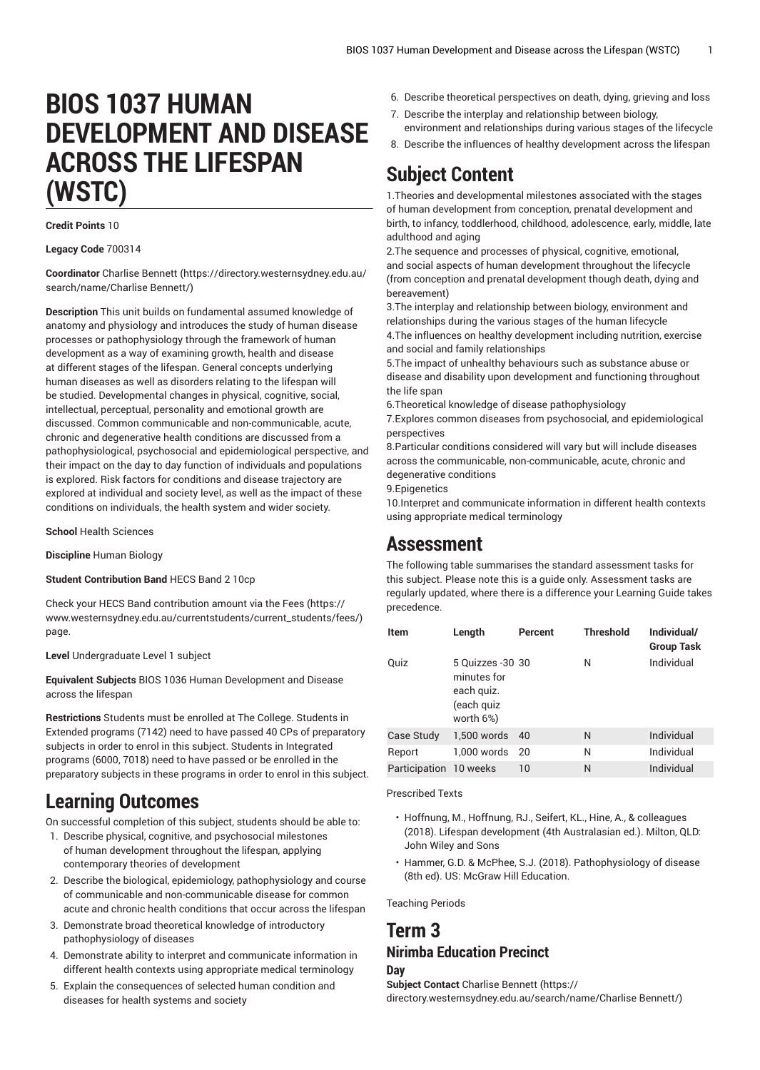# **BIOS 1037 HUMAN DEVELOPMENT AND DISEASE ACROSS THE LIFESPAN (WSTC)**

### **Credit Points** 10

### **Legacy Code** 700314

**Coordinator** [Charlise Bennett \(https://directory.westernsydney.edu.au/](https://directory.westernsydney.edu.au/search/name/Charlise Bennett/) [search/name/Charlise](https://directory.westernsydney.edu.au/search/name/Charlise Bennett/) Bennett/)

**Description** This unit builds on fundamental assumed knowledge of anatomy and physiology and introduces the study of human disease processes or pathophysiology through the framework of human development as a way of examining growth, health and disease at different stages of the lifespan. General concepts underlying human diseases as well as disorders relating to the lifespan will be studied. Developmental changes in physical, cognitive, social, intellectual, perceptual, personality and emotional growth are discussed. Common communicable and non-communicable, acute, chronic and degenerative health conditions are discussed from a pathophysiological, psychosocial and epidemiological perspective, and their impact on the day to day function of individuals and populations is explored. Risk factors for conditions and disease trajectory are explored at individual and society level, as well as the impact of these conditions on individuals, the health system and wider society.

**School** Health Sciences

**Discipline** Human Biology

### **Student Contribution Band** HECS Band 2 10cp

Check your HECS Band contribution amount via the [Fees \(https://](https://www.westernsydney.edu.au/currentstudents/current_students/fees/) [www.westernsydney.edu.au/currentstudents/current\\_students/fees/\)](https://www.westernsydney.edu.au/currentstudents/current_students/fees/) page.

**Level** Undergraduate Level 1 subject

**Equivalent Subjects** [BIOS 1036](/search/?P=BIOS%201036) Human Development and Disease across the lifespan

**Restrictions** Students must be enrolled at The College. Students in Extended programs (7142) need to have passed 40 CPs of preparatory subjects in order to enrol in this subject. Students in Integrated programs (6000, 7018) need to have passed or be enrolled in the preparatory subjects in these programs in order to enrol in this subject.

# **Learning Outcomes**

On successful completion of this subject, students should be able to:

- 1. Describe physical, cognitive, and psychosocial milestones of human development throughout the lifespan, applying contemporary theories of development
- 2. Describe the biological, epidemiology, pathophysiology and course of communicable and non-communicable disease for common acute and chronic health conditions that occur across the lifespan
- 3. Demonstrate broad theoretical knowledge of introductory pathophysiology of diseases
- 4. Demonstrate ability to interpret and communicate information in different health contexts using appropriate medical terminology
- 5. Explain the consequences of selected human condition and diseases for health systems and society
- 6. Describe theoretical perspectives on death, dying, grieving and loss
- 7. Describe the interplay and relationship between biology, environment and relationships during various stages of the lifecycle
- 8. Describe the influences of healthy development across the lifespan

## **Subject Content**

1.Theories and developmental milestones associated with the stages of human development from conception, prenatal development and birth, to infancy, toddlerhood, childhood, adolescence, early, middle, late adulthood and aging

2.The sequence and processes of physical, cognitive, emotional, and social aspects of human development throughout the lifecycle (from conception and prenatal development though death, dying and bereavement)

3.The interplay and relationship between biology, environment and relationships during the various stages of the human lifecycle 4.The influences on healthy development including nutrition, exercise and social and family relationships

5.The impact of unhealthy behaviours such as substance abuse or disease and disability upon development and functioning throughout the life span

6.Theoretical knowledge of disease pathophysiology

7.Explores common diseases from psychosocial, and epidemiological perspectives

8.Particular conditions considered will vary but will include diseases across the communicable, non-communicable, acute, chronic and degenerative conditions

9.Epigenetics

10.Interpret and communicate information in different health contexts using appropriate medical terminology

### **Assessment**

The following table summarises the standard assessment tasks for this subject. Please note this is a guide only. Assessment tasks are regularly updated, where there is a difference your Learning Guide takes precedence.

| <b>Item</b>            | Length                                                                    | Percent | <b>Threshold</b> | Individual/<br><b>Group Task</b> |
|------------------------|---------------------------------------------------------------------------|---------|------------------|----------------------------------|
| Quiz                   | 5 Quizzes - 30 30<br>minutes for<br>each quiz.<br>(each guiz<br>worth 6%) |         | N                | Individual                       |
| Case Study             | 1.500 words                                                               | 40      | N                | Individual                       |
| Report                 | 1.000 words                                                               | -20     | N                | Individual                       |
| Participation 10 weeks |                                                                           | 10      | N                | Individual                       |

#### Prescribed Texts

- Hoffnung, M., Hoffnung, RJ., Seifert, KL., Hine, A., & colleagues (2018). Lifespan development (4th Australasian ed.). Milton, QLD: John Wiley and Sons
- Hammer, G.D. & McPhee, S.J. (2018). Pathophysiology of disease (8th ed). US: McGraw Hill Education.

Teaching Periods

### **Term 3 Nirimba Education Precinct**

### **Day**

**Subject Contact** [Charlise Bennett](https://directory.westernsydney.edu.au/search/name/Charlise Bennett/) ([https://](https://directory.westernsydney.edu.au/search/name/Charlise Bennett/) [directory.westernsydney.edu.au/search/name/Charlise](https://directory.westernsydney.edu.au/search/name/Charlise Bennett/) Bennett/)